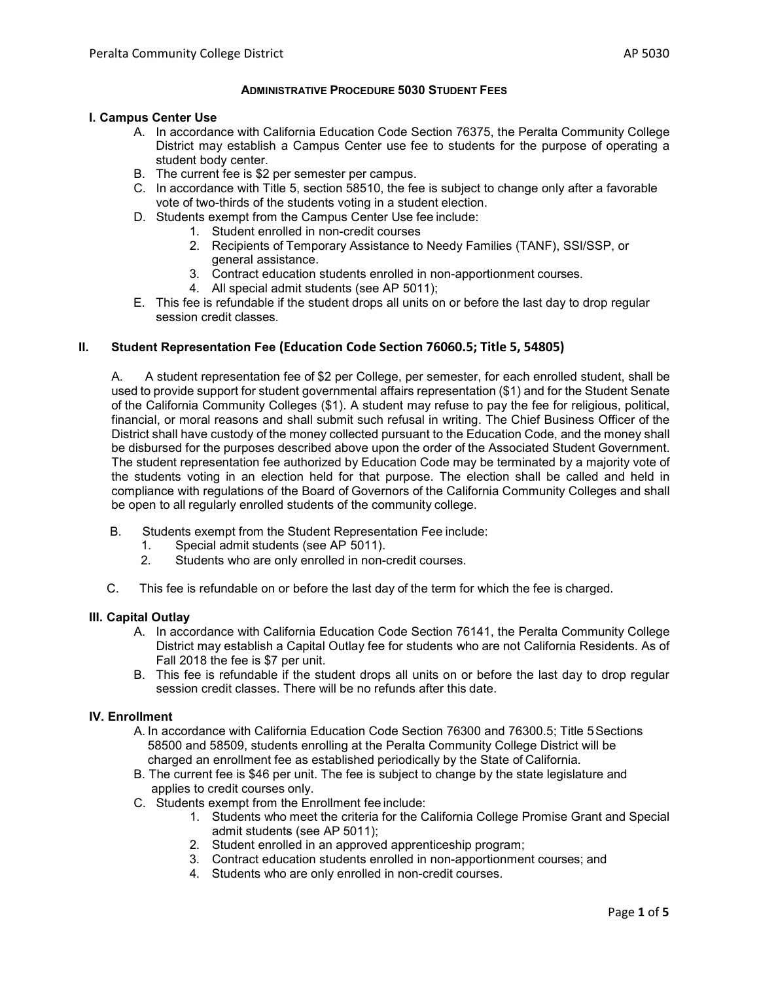## **ADMINISTRATIVE PROCEDURE 5030 STUDENT FEES**

#### **I. Campus Center Use**

- A. In accordance with California Education Code Section 76375, the Peralta Community College District may establish a Campus Center use fee to students for the purpose of operating a student body center.
- B. The current fee is \$2 per semester per campus.
- C. In accordance with Title 5, section 58510, the fee is subject to change only after a favorable vote of two-thirds of the students voting in a student election.
- D. Students exempt from the Campus Center Use fee include:
	- 1. Student enrolled in non-credit courses
	- 2. Recipients of Temporary Assistance to Needy Families (TANF), SSI/SSP, or general assistance.
	- 3. Contract education students enrolled in non-apportionment courses.
	- 4. All special admit students (see AP 5011);
- E. This fee is refundable if the student drops all units on or before the last day to drop regular session credit classes.

## **II. Student Representation Fee (Education Code Section 76060.5; Title 5, 54805)**

A. A student representation fee of \$2 per College, per semester, for each enrolled student, shall be used to provide support for student governmental affairs representation (\$1) and for the Student Senate of the California Community Colleges (\$1). A student may refuse to pay the fee for religious, political, financial, or moral reasons and shall submit such refusal in writing. The Chief Business Officer of the District shall have custody of the money collected pursuant to the Education Code, and the money shall be disbursed for the purposes described above upon the order of the Associated Student Government. The student representation fee authorized by Education Code may be terminated by a majority vote of the students voting in an election held for that purpose. The election shall be called and held in compliance with regulations of the Board of Governors of the California Community Colleges and shall be open to all regularly enrolled students of the community college.

- B. Students exempt from the Student Representation Fee include:
	- 1. Special admit students (see AP 5011).
	- 2. Students who are only enrolled in non-credit courses.
- C. This fee is refundable on or before the last day of the term for which the fee is charged.

## **III. Capital Outlay**

- A. In accordance with California Education Code Section 76141, the Peralta Community College District may establish a Capital Outlay fee for students who are not California Residents. As of Fall 2018 the fee is \$7 per unit.
- B. This fee is refundable if the student drops all units on or before the last day to drop regular session credit classes. There will be no refunds after this date.

## **IV. Enrollment**

- A. In accordance with California Education Code Section 76300 and 76300.5; Title 5Sections 58500 and 58509, students enrolling at the Peralta Community College District will be charged an enrollment fee as established periodically by the State of California.
- B. The current fee is \$46 per unit. The fee is subject to change by the state legislature and applies to credit courses only.
- C. Students exempt from the Enrollment fee include:
	- 1. Students who meet the criteria for the California College Promise Grant and Special admit students (see AP 5011);
	- 2. Student enrolled in an approved apprenticeship program;
	- 3. Contract education students enrolled in non-apportionment courses; and
	- 4. Students who are only enrolled in non-credit courses.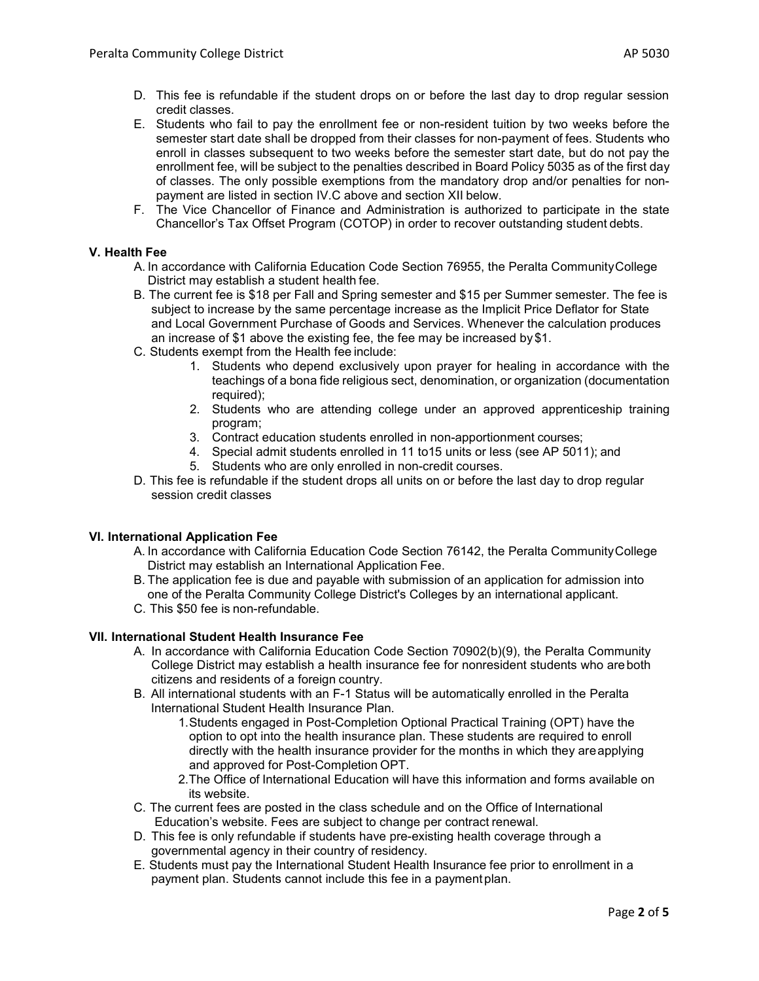- D. This fee is refundable if the student drops on or before the last day to drop regular session credit classes.
- E. Students who fail to pay the enrollment fee or non-resident tuition by two weeks before the semester start date shall be dropped from their classes for non-payment of fees. Students who enroll in classes subsequent to two weeks before the semester start date, but do not pay the enrollment fee, will be subject to the penalties described in Board Policy 5035 as of the first day of classes. The only possible exemptions from the mandatory drop and/or penalties for nonpayment are listed in section IV.C above and section XII below.
- F. The Vice Chancellor of Finance and Administration is authorized to participate in the state Chancellor's Tax Offset Program (COTOP) in order to recover outstanding student debts.

# **V. Health Fee**

- A. In accordance with California Education Code Section 76955, the Peralta CommunityCollege District may establish a student health fee.
- B. The current fee is \$18 per Fall and Spring semester and \$15 per Summer semester. The fee is subject to increase by the same percentage increase as the Implicit Price Deflator for State and Local Government Purchase of Goods and Services. Whenever the calculation produces an increase of \$1 above the existing fee, the fee may be increased by\$1.
- C. Students exempt from the Health fee include:
	- 1. Students who depend exclusively upon prayer for healing in accordance with the teachings of a bona fide religious sect, denomination, or organization (documentation required);
	- 2. Students who are attending college under an approved apprenticeship training program;
	- 3. Contract education students enrolled in non-apportionment courses;
	- 4. Special admit students enrolled in 11 to15 units or less (see AP 5011); and
	- 5. Students who are only enrolled in non-credit courses.
- D. This fee is refundable if the student drops all units on or before the last day to drop regular session credit classes

## **VI. International Application Fee**

- A. In accordance with California Education Code Section 76142, the Peralta CommunityCollege District may establish an International Application Fee.
- B. The application fee is due and payable with submission of an application for admission into one of the Peralta Community College District's Colleges by an international applicant.
- C. This \$50 fee is non-refundable.

## **VII. International Student Health Insurance Fee**

- A. In accordance with California Education Code Section 70902(b)(9), the Peralta Community College District may establish a health insurance fee for nonresident students who areboth citizens and residents of a foreign country.
- B. All international students with an F-1 Status will be automatically enrolled in the Peralta International Student Health Insurance Plan.
	- 1.Students engaged in Post-Completion Optional Practical Training (OPT) have the option to opt into the health insurance plan. These students are required to enroll directly with the health insurance provider for the months in which they areapplying and approved for Post-Completion OPT.
	- 2.The Office of International Education will have this information and forms available on its website.
- C. The current fees are posted in the class schedule and on the Office of International Education's website. Fees are subject to change per contract renewal.
- D. This fee is only refundable if students have pre-existing health coverage through a governmental agency in their country of residency.
- E. Students must pay the International Student Health Insurance fee prior to enrollment in a payment plan. Students cannot include this fee in a paymentplan.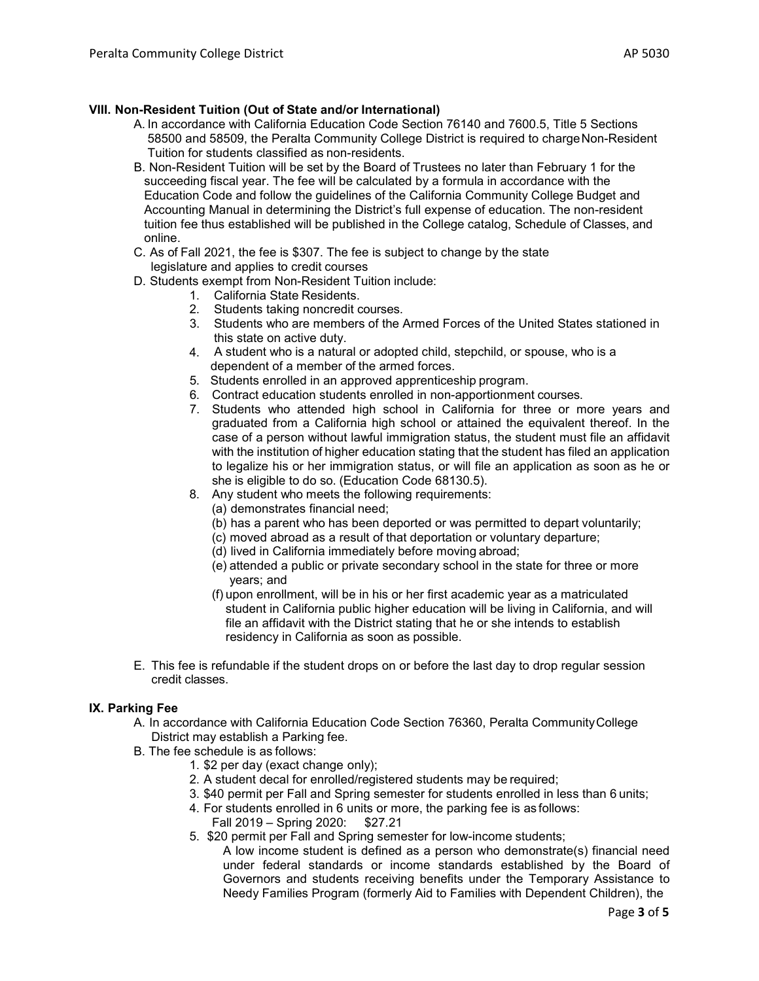- A. In accordance with California Education Code Section 76140 and 7600.5, Title 5 Sections 58500 and 58509, the Peralta Community College District is required to charge Non-Resident Tuition for students classified as non-residents.
- B. Non-Resident Tuition will be set by the Board of Trustees no later than February 1 for the succeeding fiscal year. The fee will be calculated by a formula in accordance with the Education Code and follow the guidelines of the California Community College Budget and Accounting Manual in determining the District's full expense of education. The non-resident tuition fee thus established will be published in the College catalog, Schedule of Classes, and online.
- C. As of Fall 2021, the fee is \$307. The fee is subject to change by the state legislature and applies to credit courses
- D. Students exempt from Non-Resident Tuition include:
	- 1. California State Residents.
	- 2. Students taking noncredit courses.
	- 3. Students who are members of the Armed Forces of the United States stationed in this state on active duty.
	- 4. A student who is a natural or adopted child, stepchild, or spouse, who is a dependent of a member of the armed forces.
	- 5. Students enrolled in an approved apprenticeship program.
	- 6. Contract education students enrolled in non-apportionment courses.
	- 7. Students who attended high school in California for three or more years and graduated from a California high school or attained the equivalent thereof. In the case of a person without lawful immigration status, the student must file an affidavit with the institution of higher education stating that the student has filed an application to legalize his or her immigration status, or will file an application as soon as he or she is eligible to do so. (Education Code 68130.5).
	- 8. Any student who meets the following requirements:
		- (a) demonstrates financial need;
		- (b) has a parent who has been deported or was permitted to depart voluntarily;
		- (c) moved abroad as a result of that deportation or voluntary departure;
		- (d) lived in California immediately before moving abroad;
		- (e) attended a public or private secondary school in the state for three or more years; and
		- (f) upon enrollment, will be in his or her first academic year as a matriculated student in California public higher education will be living in California, and will file an affidavit with the District stating that he or she intends to establish residency in California as soon as possible.
- E. This fee is refundable if the student drops on or before the last day to drop regular session credit classes.

## **IX. Parking Fee**

- A. In accordance with California Education Code Section 76360, Peralta CommunityCollege District may establish a Parking fee.
- B. The fee schedule is as follows:
	- 1. \$2 per day (exact change only);
	- 2. A student decal for enrolled/registered students may be required;
	- 3. \$40 permit per Fall and Spring semester for students enrolled in less than 6 units;
	- 4. For students enrolled in 6 units or more, the parking fee is as follows:
		- Fall 2019 Spring 2020: \$27.21
	- 5. \$20 permit per Fall and Spring semester for low-income students;
		- A low income student is defined as a person who demonstrate(s) financial need under federal standards or income standards established by the Board of Governors and students receiving benefits under the Temporary Assistance to Needy Families Program (formerly Aid to Families with Dependent Children), the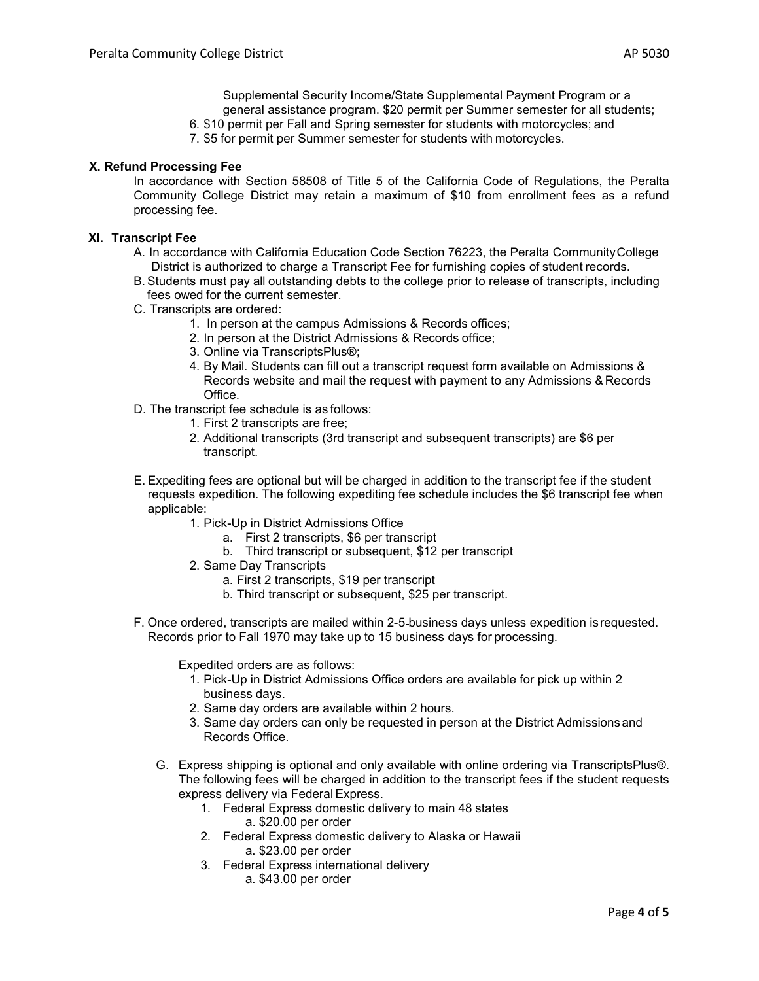Supplemental Security Income/State Supplemental Payment Program or a general assistance program. \$20 permit per Summer semester for all students;

- 6. \$10 permit per Fall and Spring semester for students with motorcycles; and
- 7. \$5 for permit per Summer semester for students with motorcycles.

# **X. Refund Processing Fee**

In accordance with Section 58508 of Title 5 of the California Code of Regulations, the Peralta Community College District may retain a maximum of \$10 from enrollment fees as a refund processing fee.

#### **XI. Transcript Fee**

- A. In accordance with California Education Code Section 76223, the Peralta CommunityCollege District is authorized to charge a Transcript Fee for furnishing copies of student records.
- B. Students must pay all outstanding debts to the college prior to release of transcripts, including fees owed for the current semester.
- C. Transcripts are ordered:
	- 1. In person at the campus Admissions & Records offices;
	- 2. In person at the District Admissions & Records office;
	- 3. Online via TranscriptsPlus®;
	- 4. By Mail. Students can fill out a transcript request form available on Admissions & Records website and mail the request with payment to any Admissions & Records Office.
- D. The transcript fee schedule is as follows:
	- 1. First 2 transcripts are free;
	- 2. Additional transcripts (3rd transcript and subsequent transcripts) are \$6 per transcript.
- E. Expediting fees are optional but will be charged in addition to the transcript fee if the student requests expedition. The following expediting fee schedule includes the \$6 transcript fee when applicable:
	- 1. Pick-Up in District Admissions Office
		- a. First 2 transcripts, \$6 per transcript
		- b. Third transcript or subsequent, \$12 per transcript
	- 2. Same Day Transcripts
		- a. First 2 transcripts, \$19 per transcript
		- b. Third transcript or subsequent, \$25 per transcript.
- F. Once ordered, transcripts are mailed within 2-5 business days unless expedition isrequested. Records prior to Fall 1970 may take up to 15 business days for processing.

Expedited orders are as follows:

- 1. Pick-Up in District Admissions Office orders are available for pick up within 2 business days.
- 2. Same day orders are available within 2 hours.
- 3. Same day orders can only be requested in person at the District Admissions and Records Office.
- G. Express shipping is optional and only available with online ordering via TranscriptsPlus®. The following fees will be charged in addition to the transcript fees if the student requests express delivery via Federal Express.
	- 1. Federal Express domestic delivery to main 48 states a. \$20.00 per order
	- 2. Federal Express domestic delivery to Alaska or Hawaii a. \$23.00 per order
	- 3. Federal Express international delivery
		- a. \$43.00 per order